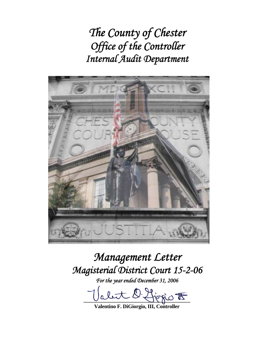*The County of Chester Office of the Controller Internal Audit Department* 



# *Management Letter Magisterial District Court 15-2-06*

*For the year ended December 31, 2006* 

let O Ljegio <del>to</del>

**Valentino F. DiGiorgio, III, Controller**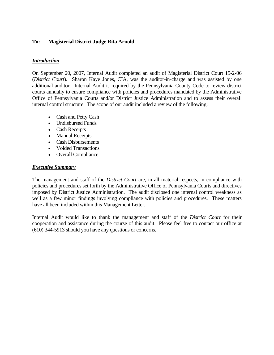## **To: Magisterial District Judge Rita Arnold**

## *Introduction*

On September 20, 2007, Internal Audit completed an audit of Magisterial District Court 15-2-06 (*District Court*). Sharon Kaye Jones, CIA, was the auditor-in-charge and was assisted by one additional auditor. Internal Audit is required by the Pennsylvania County Code to review district courts annually to ensure compliance with policies and procedures mandated by the Administrative Office of Pennsylvania Courts and/or District Justice Administration and to assess their overall internal control structure. The scope of our audit included a review of the following:

- Cash and Petty Cash
- Undisbursed Funds
- Cash Receipts
- Manual Receipts
- Cash Disbursements
- Voided Transactions
- Overall Compliance.

## *Executive Summary*

The management and staff of the *District Court* are, in all material respects, in compliance with policies and procedures set forth by the Administrative Office of Pennsylvania Courts and directives imposed by District Justice Administration. The audit disclosed one internal control weakness as well as a few minor findings involving compliance with policies and procedures. These matters have all been included within this Management Letter.

Internal Audit would like to thank the management and staff of the *District Court* for their cooperation and assistance during the course of this audit. Please feel free to contact our office at (610) 344-5913 should you have any questions or concerns.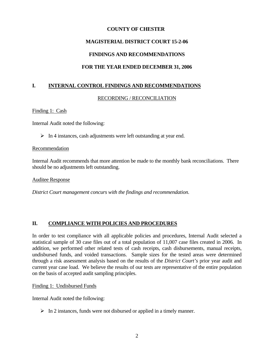# **MAGISTERIAL DISTRICT COURT 15-2-06**

# **FINDINGS AND RECOMMENDATIONS**

# **FOR THE YEAR ENDED DECEMBER 31, 2006**

# **I. INTERNAL CONTROL FINDINGS AND RECOMMENDATIONS**

## RECORDING / RECONCILIATION

## Finding 1: Cash

Internal Audit noted the following:

 $\triangleright$  In 4 instances, cash adjustments were left outstanding at year end.

## Recommendation

Internal Audit recommends that more attention be made to the monthly bank reconciliations. There should be no adjustments left outstanding.

Auditee Response

*District Court management concurs with the findings and recommendation.* 

## **II. COMPLIANCE WITH POLICIES AND PROCEDURES**

In order to test compliance with all applicable policies and procedures, Internal Audit selected a statistical sample of 30 case files out of a total population of 11,007 case files created in 2006. In addition, we performed other related tests of cash receipts, cash disbursements, manual receipts, undisbursed funds, and voided transactions. Sample sizes for the tested areas were determined through a risk assessment analysis based on the results of the *District Court's* prior year audit and current year case load. We believe the results of our tests are representative of the entire population on the basis of accepted audit sampling principles.

## Finding 1: Undisbursed Funds

Internal Audit noted the following:

 $\triangleright$  In 2 instances, funds were not disbursed or applied in a timely manner.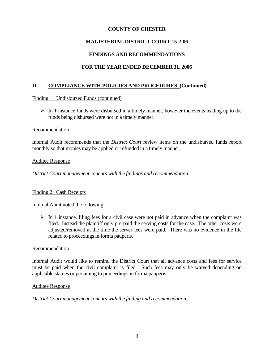# **MAGISTERIAL DISTRICT COURT 15-2-06**

# **FINDINGS AND RECOMMENDATIONS**

# **FOR THE YEAR ENDED DECEMBER 31, 2006**

## **II. COMPLIANCE WITH POLICIES AND PROCEDURES (Continued)**

Finding 1: Undisbursed Funds (continued)

 $\triangleright$  In 1 instance funds were disbursed in a timely manner, however the events leading up to the funds being disbursed were not in a timely manner.

#### Recommendation

Internal Audit recommends that the *District Court* review items on the undisbursed funds report monthly so that monies may be applied or refunded in a timely manner.

#### Auditee Response

*District Court management concurs with the findings and recommendation.* 

## Finding 2: Cash Receipts

Internal Audit noted the following:

 $\triangleright$  In 1 instance, filing fees for a civil case were not paid in advance when the complaint was filed. Instead the plaintiff only pre-paid the serving costs for the case. The other costs were adjusted/removed at the time the server fees were paid. There was no evidence in the file related to proceedings in forma pauperis.

## Recommendation

Internal Audit would like to remind the District Court that all advance costs and fees for service must be paid when the civil complaint is filed. Such fees may only be waived depending on applicable statues or pertaining to proceedings in forma pauperis.

#### Auditee Response

*District Court management concurs with the finding and recommendation.*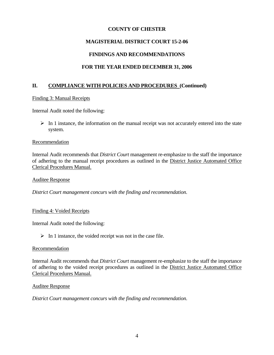# **MAGISTERIAL DISTRICT COURT 15-2-06**

# **FINDINGS AND RECOMMENDATIONS**

# **FOR THE YEAR ENDED DECEMBER 31, 2006**

## **II. COMPLIANCE WITH POLICIES AND PROCEDURES (Continued)**

## Finding 3: Manual Receipts

Internal Audit noted the following:

 $\triangleright$  In 1 instance, the information on the manual receipt was not accurately entered into the state system.

## **Recommendation**

Internal Audit recommends that *District Court* management re-emphasize to the staff the importance of adhering to the manual receipt procedures as outlined in the District Justice Automated Office Clerical Procedures Manual.

## Auditee Response

*District Court management concurs with the finding and recommendation.* 

## Finding 4: Voided Receipts

Internal Audit noted the following:

 $\triangleright$  In 1 instance, the voided receipt was not in the case file.

## Recommendation

Internal Audit recommends that *District Court* management re-emphasize to the staff the importance of adhering to the voided receipt procedures as outlined in the District Justice Automated Office Clerical Procedures Manual.

## Auditee Response

*District Court management concurs with the finding and recommendation.*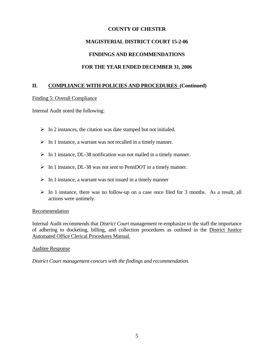# **MAGISTERIAL DISTRICT COURT 15-2-06**

## **FINDINGS AND RECOMMENDATIONS**

# **FOR THE YEAR ENDED DECEMBER 31, 2006**

## **II. COMPLIANCE WITH POLICIES AND PROCEDURES (Continued)**

## Finding 5: Overall Compliance

Internal Audit noted the following:

- $\triangleright$  In 2 instances, the citation was date stamped but not initialed.
- $\triangleright$  In 1 instance, a warrant was not recalled in a timely manner.
- $\triangleright$  In 1 instance, DL-38 notification was not mailed in a timely manner.
- $\triangleright$  In 1 instance, DL-38 was not sent to PennDOT in a timely manner.
- $\triangleright$  In 1 instance, a warrant was not issued in a timely manner
- $\triangleright$  In 1 instance, there was no follow-up on a case once filed for 3 months. As a result, all actions were untimely.

## Recommendation

Internal Audit recommends that *District Court* management re-emphasize to the staff the importance of adhering to docketing, billing, and collection procedures as outlined in the District Justice Automated Office Clerical Procedures Manual.

## Auditee Response

*District Court management concurs with the findings and recommendation.*